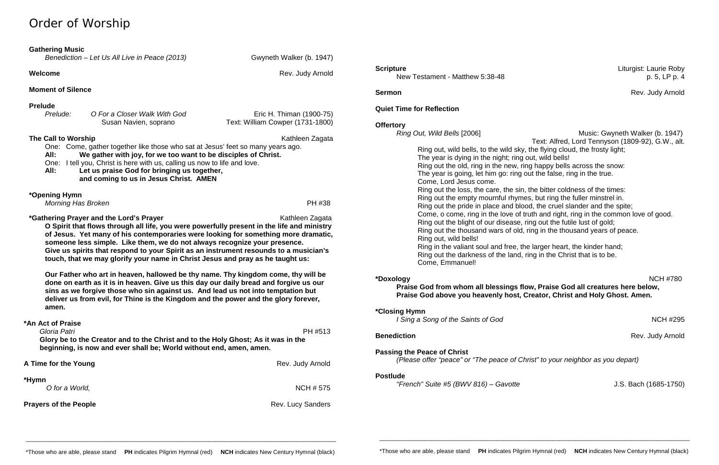# Order of Worship

## **Gathering Music**

| Benediction – Let Us All Live in Peace (2013) |  |  |  |  |
|-----------------------------------------------|--|--|--|--|
|-----------------------------------------------|--|--|--|--|

**Welcome Rev. Judy Arnold Rev. Judy Arnold** 

*Benediction – Let Us All Live in Peace (2013)* Gwyneth Walker (b. 1947)

| Prelude: | O For a Closer Walk With God | Eric H. Thiman (1900-75)         |
|----------|------------------------------|----------------------------------|
|          | Susan Navien, soprano        | Text: William Cowper (1731-1800) |

## **Moment of Silence**

## **Prelude**

**The Call to Worship Kathleen Zagata Kathleen Zagata Kathleen Zagata** One: Come, gather together like those who sat at Jesus' feet so many years ago. **All: We gather with joy, for we too want to be disciples of Christ.** One: I tell you, Christ is here with us, calling us now to life and love. **All: Let us praise God for bringing us together,** 

**\*Gathering Prayer and the Lord's Prayer** Mathleen Zagata Kathleen Zagata **O Spirit that flows through all life, you were powerfully present in the life and ministry** 

**and coming to us in Jesus Christ. AMEN**

## **\*Opening Hymn**

*Morning Has Broken* PH #38

**of Jesus. Yet many of his contemporaries were looking for something more dramatic, someone less simple. Like them, we do not always recognize your presence. Give us spirits that respond to your Spirit as an instrument resounds to a musician's touch, that we may glorify your name in Christ Jesus and pray as he taught us:**

*Music: Gwyneth Walker (b. 1947)* Text: Alfred, Lord Tennyson (1809-92), G.W., alt.

**Benediction** Rev. Judy Arnold

**Our Father who art in heaven, hallowed be thy name. Thy kingdom come, thy will be done on earth as it is in heaven. Give us this day our daily bread and forgive us our sins as we forgive those who sin against us. And lead us not into temptation but deliver us from evil, for Thine is the Kingdom and the power and the glory forever, amen.**

# **\*An Act of Praise**

 *Gloria Patri* PH #513 **Glory be to the Creator and to the Christ and to the Holy Ghost; As it was in the beginning, is now and ever shall be; World without end, amen, amen.**



New Testament - Matthew 5:38-48 p. 5, LP p. 4

**Sermon** Rev. Judy Arnold

## **Quiet Time for Reflection**

**Offertory**<br>Ring Out, Wild Bells [2006]

Ring out, wild bells, to the wild sky, the flying cloud, the frosty light; The year is dying in the night; ring out, wild bells! Ring out the old, ring in the new, ring happy bells across the snow: The year is going, let him go: ring out the false, ring in the true. Come, Lord Jesus come. Ring out the loss, the care, the sin, the bitter coldness of the times: Ring out the empty mournful rhymes, but ring the fuller minstrel in. Ring out the pride in place and blood, the cruel slander and the spite; Come, o come, ring in the love of truth and right, ring in the common love of good. Ring out the blight of our disease, ring out the futile lust of gold; Ring out the thousand wars of old, ring in the thousand years of peace. Ring out, wild bells! Ring in the valiant soul and free, the larger heart, the kinder hand; Ring out the darkness of the land, ring in the Christ that is to be. Come, Emmanuel!

**\*Doxology** NCH #780 **Praise God from whom all blessings flow, Praise God all creatures here below, Praise God above you heavenly host, Creator, Christ and Holy Ghost. Amen.**

**\*Closing Hymn** 

*I Sing a Song of the Saints of God* NCH #295

**Passing the Peace of Christ**

*(Please offer "peace" or "The peace of Christ" to your neighbor as you depart)*

## **Postlude**

*"French" Suite #5 (BWV 816) – Gavotte* J.S. Bach (1685-1750)

\_\_\_\_\_\_\_\_\_\_\_\_\_\_\_\_\_\_\_\_\_\_\_\_\_\_\_\_\_\_\_\_\_\_\_\_\_\_\_\_\_\_\_\_\_\_\_\_\_\_\_\_\_\_\_\_\_\_\_\_\_\_\_\_\_\_\_\_\_\_\_\_\_\_\_\_\_\_\_\_\_\_\_\_\_\_\_\_\_\_\_\_\_\_\_

**Scripture** Liturgist: Laurie Roby

\_\_\_\_\_\_\_\_\_\_\_\_\_\_\_\_\_\_\_\_\_\_\_\_\_\_\_\_\_\_\_\_\_\_\_\_\_\_\_\_\_\_\_\_\_\_\_\_\_\_\_\_\_\_\_\_\_\_\_\_\_\_\_\_\_\_\_\_\_\_\_\_\_\_\_\_\_\_\_\_\_\_\_\_\_\_\_\_\_\_\_\_\_\_\_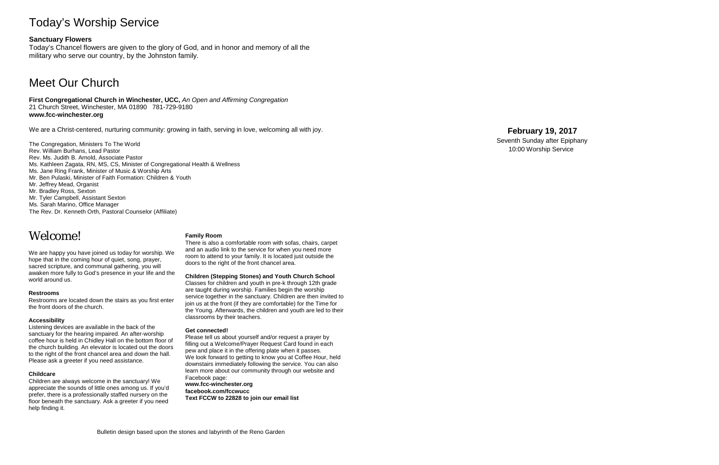# Today's Worship Service

## **Sanctuary Flowers**

Today's Chancel flowers are given to the glory of God, and in honor and memory of all the military who serve our country, by the Johnston family.

# Meet Our Church

**First Congregational Church in Winchester, UCC,** *An Open and Affirming Congregation* 21 Church Street, Winchester, MA 01890 781 -729 -9180 **www.fcc -winchester.org**

We are a Christ -centered, nurturing community: growing in faith, serving in love, welcoming all with joy.

The Congregation, Ministers To The World Rev. William Burhans, Lead Pastor Rev. Ms. Judith B. Arnold, Associate Pastor Ms. Kathleen Zagata, RN, MS, CS, Minister of Congregational Health & Wellness Ms. Jane Ring Frank, Minister of Music & Worship Arts Mr. Ben Pulaski, Minister of Faith Formation: Children & Youth Mr. Jeffrey Mead, Organist Mr. Bradley Ross, Sexton Mr. Tyler Campbell, Assistant Sexton Ms. Sarah Marino, Office Manager The Rev. Dr. Kenneth Orth, Pastoral Counselor (Affiliate)

# Welcome!

We are happy you have joined us today for worship. We hope that in the coming hour of quiet, song, prayer, sacred scripture, and communal gathering, you will awaken more fully to God's presence in your life and the world around us.

### **Restrooms**

Restrooms are located down the stairs as you first enter the front doors of the church.

### **Accessibility**

Listening devices are available in the back of the sanctuary for the hearing impaired. An after -worship coffee hour is held in Chidley Hall on the bottom floor of the church building. An elevator is located out the doors to the right of the front chancel area and down the hall. Please ask a greeter if you need assistance.

### **Childcare**

Children are always welcome in the sanctuary! We appreciate the sounds of little ones among us. If you'd prefer, there is a professionally staffed nursery on the floor beneath the sanctuary. Ask a greeter if you need help finding it.

### **Family Room**

There is also a comfortable room with sofas, chairs, carpet and an audio link to the service for when you need more room to attend to your family. It is located just outside the doors to the right of the front chancel area.

### **Children (Stepping Stones) and Youth Church School**

Classes for children and youth in pre -k through 12th grade are taught during worship. Families begin the worship service together in the sanctuary. Children are then invited to join us at the front (if they are comfortable) for the Time for the Young. Afterwards, the children and youth are led to their classrooms by their teachers.

### **Get connected!**

Please tell us about yourself and/or request a prayer by filling out a Welcome/Prayer Request Card found in each pew and place it in the offering plate when it passes. We look forward to getting to know you at Coffee Hour, held downstairs immediately following the service. You can also learn more about our community through our website and Facebook page: **www.fcc -winchester.org**

**facebook.com/fccwucc Text FCCW to 22828 to join our email list**

## **February 1 9 , 2017**

Seventh Sunday after Epiphany 10:00 Worship Service